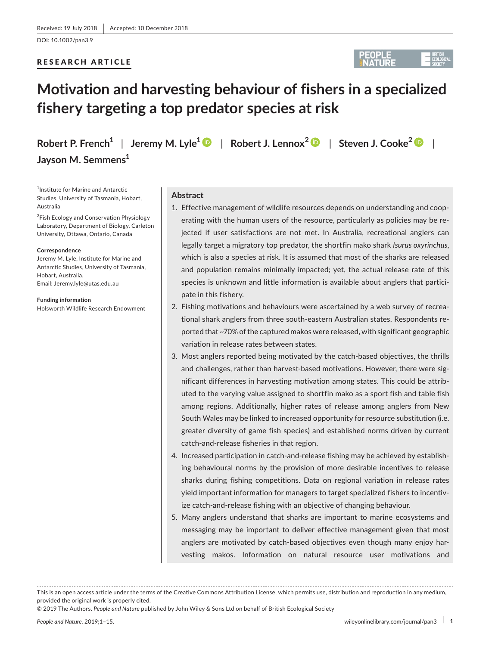DOI: 10.1002/pan3.9

# RESEARCH ARTICLE



# **Motivation and harvesting behaviour of fishers in a specialized fishery targeting a top predator species at risk**

**Robert P. French1** | **Jeremy M. Lyle<sup>1</sup>** | **Robert J. Lennox<sup>2</sup>** | **Steven J. Cooke[2](https://orcid.org/0000-0002-5407-0659)** |

1 Institute for Marine and Antarctic Studies, University of Tasmania, Hobart, Australia

**Jayson M. Semmens<sup>1</sup>**

<sup>2</sup>Fish Ecology and Conservation Physiology Laboratory, Department of Biology, Carleton University, Ottawa, Ontario, Canada

#### **Correspondence**

Jeremy M. Lyle, Institute for Marine and Antarctic Studies, University of Tasmania, Hobart, Australia. Email: [Jeremy.lyle@utas.edu.au](mailto:Jeremy.lyle@utas.edu.au)

**Funding information**

Holsworth Wildlife Research Endowment

## **Abstract**

- 1. Effective management of wildlife resources depends on understanding and cooperating with the human users of the resource, particularly as policies may be re‐ jected if user satisfactions are not met. In Australia, recreational anglers can legally target a migratory top predator, the shortfin mako shark *Isurus oxyrinchus*, which is also a species at risk. It is assumed that most of the sharks are released and population remains minimally impacted; yet, the actual release rate of this species is unknown and little information is available about anglers that participate in this fishery.
- 2. Fishing motivations and behaviours were ascertained by a web survey of recreational shark anglers from three south-eastern Australian states. Respondents reported that ~70% of the captured makos were released, with significant geographic variation in release rates between states.
- 3. Most anglers reported being motivated by the catch-based objectives, the thrills and challenges, rather than harvest-based motivations. However, there were significant differences in harvesting motivation among states. This could be attrib‐ uted to the varying value assigned to shortfin mako as a sport fish and table fish among regions. Additionally, higher rates of release among anglers from New South Wales may be linked to increased opportunity for resource substitution (i.e. greater diversity of game fish species) and established norms driven by current catch‐and‐release fisheries in that region.
- 4. Increased participation in catch-and-release fishing may be achieved by establishing behavioural norms by the provision of more desirable incentives to release sharks during fishing competitions. Data on regional variation in release rates yield important information for managers to target specialized fishers to incentiv‐ ize catch-and-release fishing with an objective of changing behaviour.
- 5. Many anglers understand that sharks are important to marine ecosystems and messaging may be important to deliver effective management given that most anglers are motivated by catch-based objectives even though many enjoy harvesting makos. Information on natural resource user motivations and

© 2019 The Authors. *People and Nature* published by John Wiley & Sons Ltd on behalf of British Ecological Society

This is an open access article under the terms of the Creative Commons [Attribution](http://creativecommons.org/licenses/by/4.0/) License, which permits use, distribution and reproduction in any medium, provided the original work is properly cited.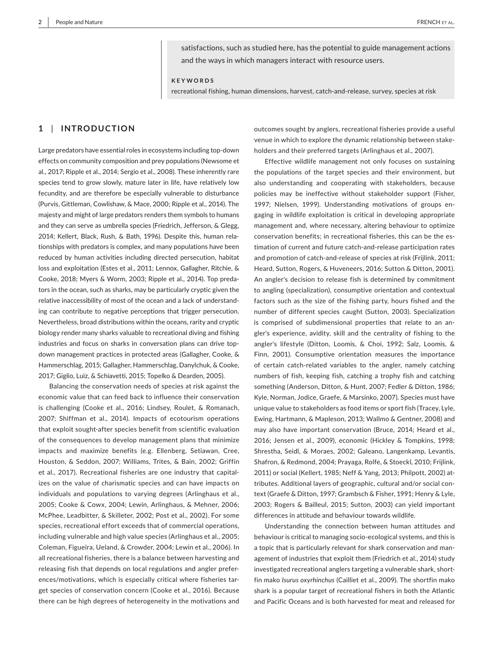satisfactions, such as studied here, has the potential to guide management actions and the ways in which managers interact with resource users.

**KEYWORDS**

recreational fishing, human dimensions, harvest, catch-and-release, survey, species at risk

# **1** | **INTRODUCTION**

Large predators have essential roles in ecosystems including top-down effects on community composition and prey populations (Newsome et al., 2017; Ripple et al., 2014; Sergio et al., 2008). These inherently rare species tend to grow slowly, mature later in life, have relatively low fecundity, and are therefore be especially vulnerable to disturbance (Purvis, Gittleman, Cowlishaw, & Mace, 2000; Ripple et al., 2014). The majesty and might of large predators renders them symbols to humans and they can serve as umbrella species (Friedrich, Jefferson, & Glegg, 2014; Kellert, Black, Rush, & Bath, 1996). Despite this, human rela‐ tionships with predators is complex, and many populations have been reduced by human activities including directed persecution, habitat loss and exploitation (Estes et al., 2011; Lennox, Gallagher, Ritchie, & Cooke, 2018; Myers & Worm, 2003; Ripple et al., 2014). Top preda‐ tors in the ocean, such as sharks, may be particularly cryptic given the relative inaccessibility of most of the ocean and a lack of understand‐ ing can contribute to negative perceptions that trigger persecution. Nevertheless, broad distributions within the oceans, rarity and cryptic biology render many sharks valuable to recreational diving and fishing industries and focus on sharks in conversation plans can drive topdown management practices in protected areas (Gallagher, Cooke, & Hammerschlag, 2015; Gallagher, Hammerschlag, Danylchuk, & Cooke, 2017; Giglio, Luiz, & Schiavetti, 2015; Topelko & Dearden, 2005).

Balancing the conservation needs of species at risk against the economic value that can feed back to influence their conservation is challenging (Cooke et al., 2016; Lindsey, Roulet, & Romanach, 2007; Shiffman et al., 2014). Impacts of ecotourism operations that exploit sought‐after species benefit from scientific evaluation of the consequences to develop management plans that minimize impacts and maximize benefits (e.g. Ellenberg, Setiawan, Cree, Houston, & Seddon, 2007; Williams, Trites, & Bain, 2002; Griffin et al., 2017). Recreational fisheries are one industry that capital‐ izes on the value of charismatic species and can have impacts on individuals and populations to varying degrees (Arlinghaus et al., 2005; Cooke & Cowx, 2004; Lewin, Arlinghaus, & Mehner, 2006; McPhee, Leadbitter, & Skilleter, 2002; Post et al., 2002). For some species, recreational effort exceeds that of commercial operations, including vulnerable and high value species (Arlinghaus et al., 2005; Coleman, Figueira, Ueland, & Crowder, 2004; Lewin et al., 2006). In all recreational fisheries, there is a balance between harvesting and releasing fish that depends on local regulations and angler prefer‐ ences/motivations, which is especially critical where fisheries tar‐ get species of conservation concern (Cooke et al., 2016). Because there can be high degrees of heterogeneity in the motivations and outcomes sought by anglers, recreational fisheries provide a useful venue in which to explore the dynamic relationship between stake‐ holders and their preferred targets (Arlinghaus et al., 2007).

Effective wildlife management not only focuses on sustaining the populations of the target species and their environment, but also understanding and cooperating with stakeholders, because policies may be ineffective without stakeholder support (Fisher, 1997; Nielsen, 1999). Understanding motivations of groups en‐ gaging in wildlife exploitation is critical in developing appropriate management and, where necessary, altering behaviour to optimize conservation benefits; in recreational fisheries, this can be the estimation of current and future catch‐and‐release participation rates and promotion of catch-and-release of species at risk (Frijlink, 2011; Heard, Sutton, Rogers, & Huveneers, 2016; Sutton & Ditton, 2001). An angler's decision to release fish is determined by commitment to angling (specialization), consumptive orientation and contextual factors such as the size of the fishing party, hours fished and the number of different species caught (Sutton, 2003). Specialization is comprised of subdimensional properties that relate to an an‐ gler's experience, avidity, skill and the centrality of fishing to the angler's lifestyle (Ditton, Loomis, & Choi, 1992; Salz, Loomis, & Finn, 2001). Consumptive orientation measures the importance of certain catch‐related variables to the angler, namely catching numbers of fish, keeping fish, catching a trophy fish and catching something (Anderson, Ditton, & Hunt, 2007; Fedler & Ditton, 1986; Kyle, Norman, Jodice, Graefe, & Marsinko, 2007). Species must have unique value to stakeholders as food items or sport fish (Tracey, Lyle, Ewing, Hartmann, & Mapleson, 2013; Wallmo & Gentner, 2008) and may also have important conservation (Bruce, 2014; Heard et al., 2016; Jensen et al., 2009), economic (Hickley & Tompkins, 1998; Shrestha, Seidl, & Moraes, 2002; Galeano, Langenkamp, Levantis, Shafron, & Redmond, 2004; Prayaga, Rolfe, & Stoeckl, 2010; Frijlink, 2011) or social (Kellert, 1985; Neff & Yang, 2013; Philpott, 2002) at‐ tributes. Additional layers of geographic, cultural and/or social con‐ text (Graefe & Ditton, 1997; Grambsch & Fisher, 1991; Henry & Lyle, 2003; Rogers & Bailleul, 2015; Sutton, 2003) can yield important differences in attitude and behaviour towards wildlife.

Understanding the connection between human attitudes and behaviour is critical to managing socio‐ecological systems, and this is a topic that is particularly relevant for shark conservation and man‐ agement of industries that exploit them (Friedrich et al., 2014) study investigated recreational anglers targeting a vulnerable shark, short‐ fin mako *Isurus oxyrhinchus* (Cailliet et al., 2009). The shortfin mako shark is a popular target of recreational fishers in both the Atlantic and Pacific Oceans and is both harvested for meat and released for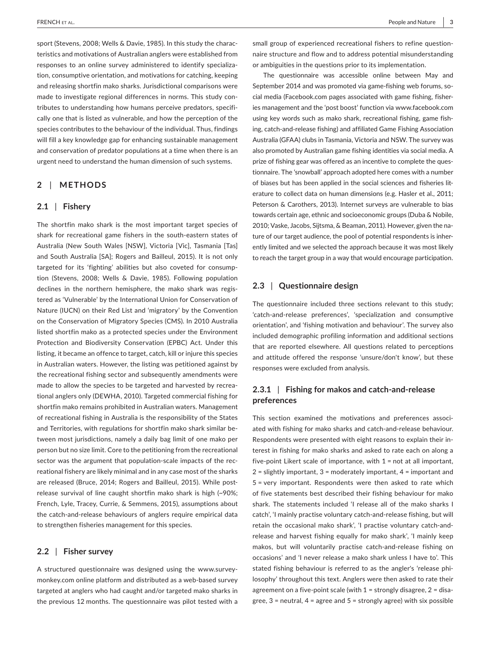sport (Stevens, 2008; Wells & Davie, 1985). In this study the characteristics and motivations of Australian anglers were established from responses to an online survey administered to identify specializa‐ tion, consumptive orientation, and motivations for catching, keeping and releasing shortfin mako sharks. Jurisdictional comparisons were made to investigate regional differences in norms. This study contributes to understanding how humans perceive predators, specifi‐ cally one that is listed as vulnerable, and how the perception of the species contributes to the behaviour of the individual. Thus, findings will fill a key knowledge gap for enhancing sustainable management and conservation of predator populations at a time when there is an urgent need to understand the human dimension of such systems.

# **2** | **METHODS**

## **2.1** | **Fishery**

The shortfin mako shark is the most important target species of shark for recreational game fishers in the south‐eastern states of Australia (New South Wales [NSW], Victoria [Vic], Tasmania [Tas] and South Australia [SA]; Rogers and Bailleul, 2015). It is not only targeted for its 'fighting' abilities but also coveted for consump‐ tion (Stevens, 2008; Wells & Davie, 1985). Following population declines in the northern hemisphere, the mako shark was regis‐ tered as 'Vulnerable' by the International Union for Conservation of Nature (IUCN) on their Red List and 'migratory' by the Convention on the Conservation of Migratory Species (CMS). In 2010 Australia listed shortfin mako as a protected species under the Environment Protection and Biodiversity Conservation (EPBC) Act. Under this listing, it became an offence to target, catch, kill or injure this species in Australian waters. However, the listing was petitioned against by the recreational fishing sector and subsequently amendments were made to allow the species to be targeted and harvested by recreational anglers only (DEWHA, 2010). Targeted commercial fishing for shortfin mako remains prohibited in Australian waters. Management of recreational fishing in Australia is the responsibility of the States and Territories, with regulations for shortfin mako shark similar be‐ tween most jurisdictions, namely a daily bag limit of one mako per person but no size limit. Core to the petitioning from the recreational sector was the argument that population-scale impacts of the recreational fishery are likely minimal and in any case most of the sharks are released (Bruce, 2014; Rogers and Bailleul, 2015). While postrelease survival of line caught shortfin mako shark is high (~90%; French, Lyle, Tracey, Currie, & Semmens, 2015), assumptions about the catch‐and‐release behaviours of anglers require empirical data to strengthen fisheries management for this species.

## **2.2** | **Fisher survey**

A structured questionnaire was designed using the [www.survey](http://www.surveymonkey.com)‐ [monkey.com](http://www.surveymonkey.com) online platform and distributed as a web‐based survey targeted at anglers who had caught and/or targeted mako sharks in the previous 12 months. The questionnaire was pilot tested with a

small group of experienced recreational fishers to refine questionnaire structure and flow and to address potential misunderstanding or ambiguities in the questions prior to its implementation.

The questionnaire was accessible online between May and September 2014 and was promoted via game-fishing web forums, social media (Facebook.com pages associated with game fishing, fisher‐ ies management and the 'post boost' function via [www.facebook.com](http://www.facebook.com) using key words such as mako shark, recreational fishing, game fish‐ ing, catch‐and‐release fishing) and affiliated Game Fishing Association Australia (GFAA) clubs in Tasmania, Victoria and NSW. The survey was also promoted by Australian game fishing identities via social media. A prize of fishing gear was offered as an incentive to complete the ques‐ tionnaire. The 'snowball' approach adopted here comes with a number of biases but has been applied in the social sciences and fisheries lit‐ erature to collect data on human dimensions (e.g. Hasler et al., 2011; Peterson & Carothers, 2013). Internet surveys are vulnerable to bias towards certain age, ethnic and socioeconomic groups (Duba & Nobile, 2010; Vaske, Jacobs, Sijtsma, & Beaman, 2011). However, given the na‐ ture of our target audience, the pool of potential respondents is inherently limited and we selected the approach because it was most likely to reach the target group in a way that would encourage participation.

# **2.3** | **Questionnaire design**

The questionnaire included three sections relevant to this study; 'catch‐and‐release preferences', 'specialization and consumptive orientation', and 'fishing motivation and behaviour'. The survey also included demographic profiling information and additional sections that are reported elsewhere. All questions related to perceptions and attitude offered the response 'unsure/don't know', but these responses were excluded from analysis.

# **2.3.1** | **Fishing for makos and catch‐and‐release preferences**

This section examined the motivations and preferences associated with fishing for mako sharks and catch‐and‐release behaviour. Respondents were presented with eight reasons to explain their in‐ terest in fishing for mako sharks and asked to rate each on along a five-point Likert scale of importance, with  $1 =$  not at all important, 2 = slightly important, 3 = moderately important, 4 = important and 5 = very important. Respondents were then asked to rate which of five statements best described their fishing behaviour for mako shark. The statements included 'I release all of the mako sharks I catch', 'I mainly practise voluntary catch‐and‐release fishing, but will retain the occasional mako shark', 'I practise voluntary catch‐and‐ release and harvest fishing equally for mako shark', 'I mainly keep makos, but will voluntarily practise catch‐and‐release fishing on occasions' and 'I never release a mako shark unless I have to'. This stated fishing behaviour is referred to as the angler's 'release phi‐ losophy' throughout this text. Anglers were then asked to rate their agreement on a five-point scale (with  $1 =$  strongly disagree,  $2 =$  disagree,  $3$  = neutral,  $4$  = agree and  $5$  = strongly agree) with six possible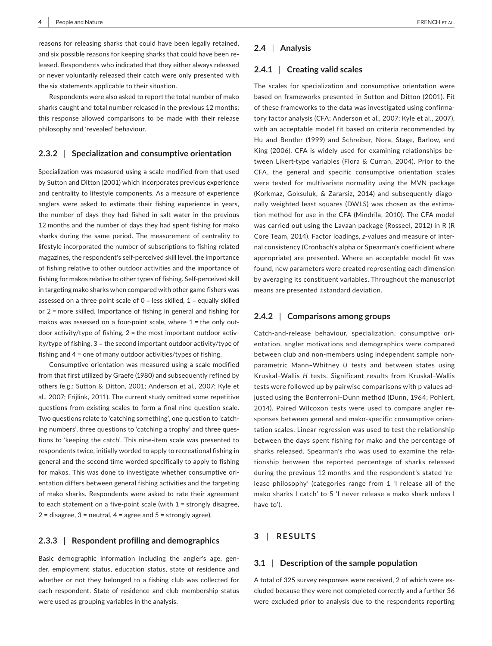reasons for releasing sharks that could have been legally retained, and six possible reasons for keeping sharks that could have been re‐ leased. Respondents who indicated that they either always released or never voluntarily released their catch were only presented with the six statements applicable to their situation.

Respondents were also asked to report the total number of mako sharks caught and total number released in the previous 12 months; this response allowed comparisons to be made with their release philosophy and 'revealed' behaviour.

## **2.3.2** | **Specialization and consumptive orientation**

Specialization was measured using a scale modified from that used by Sutton and Ditton (2001) which incorporates previous experience and centrality to lifestyle components. As a measure of experience anglers were asked to estimate their fishing experience in years, the number of days they had fished in salt water in the previous 12 months and the number of days they had spent fishing for mako sharks during the same period. The measurement of centrality to lifestyle incorporated the number of subscriptions to fishing related magazines, the respondent's self‐perceived skill level, the importance of fishing relative to other outdoor activities and the importance of fishing for makos relative to other types of fishing. Self‐perceived skill in targeting mako sharks when compared with other game fishers was assessed on a three point scale of  $0 =$  less skilled,  $1 =$  equally skilled or 2 = more skilled. Importance of fishing in general and fishing for makos was assessed on a four-point scale, where  $1$  = the only outdoor activity/type of fishing, 2 = the most important outdoor activ‐ ity/type of fishing, 3 = the second important outdoor activity/type of fishing and 4 = one of many outdoor activities/types of fishing.

Consumptive orientation was measured using a scale modified from that first utilized by Graefe (1980) and subsequently refined by others (e.g.: Sutton & Ditton, 2001; Anderson et al., 2007; Kyle et al., 2007; Frijlink, 2011). The current study omitted some repetitive questions from existing scales to form a final nine question scale. Two questions relate to 'catching something', one question to 'catch‐ ing numbers', three questions to 'catching a trophy' and three ques‐ tions to 'keeping the catch'. This nine‐item scale was presented to respondents twice, initially worded to apply to recreational fishing in general and the second time worded specifically to apply to fishing for makos. This was done to investigate whether consumptive ori‐ entation differs between general fishing activities and the targeting of mako sharks. Respondents were asked to rate their agreement to each statement on a five‐point scale (with 1 = strongly disagree,  $2 =$  disagree,  $3 =$  neutral,  $4 =$  agree and  $5 =$  strongly agree).

# **2.3.3** | **Respondent profiling and demographics**

Basic demographic information including the angler's age, gen‐ der, employment status, education status, state of residence and whether or not they belonged to a fishing club was collected for each respondent. State of residence and club membership status were used as grouping variables in the analysis.

## **2.4** | **Analysis**

#### **2.4.1** | **Creating valid scales**

The scales for specialization and consumptive orientation were based on frameworks presented in Sutton and Ditton (2001). Fit of these frameworks to the data was investigated using confirma‐ tory factor analysis (CFA; Anderson et al., 2007; Kyle et al., 2007), with an acceptable model fit based on criteria recommended by Hu and Bentler (1999) and Schreiber, Nora, Stage, Barlow, and King (2006). CFA is widely used for examining relationships be‐ tween Likert‐type variables (Flora & Curran, 2004). Prior to the CFA, the general and specific consumptive orientation scales were tested for multivariate normality using the MVN package (Korkmaz, Goksuluk, & Zararsiz, 2014) and subsequently diago‐ nally weighted least squares (DWLS) was chosen as the estima‐ tion method for use in the CFA (Mindrila, 2010). The CFA model was carried out using the Lavaan package (Rosseel, 2012) in R (R Core Team, 2014). Factor loadings, *z*‐values and measure of inter‐ nal consistency (Cronbach's alpha or Spearman's coefficient where appropriate) are presented. Where an acceptable model fit was found, new parameters were created representing each dimension by averaging its constituent variables. Throughout the manuscript means are presented ±standard deviation.

# **2.4.2** | **Comparisons among groups**

Catch‐and‐release behaviour, specialization, consumptive ori‐ entation, angler motivations and demographics were compared between club and non‐members using independent sample non‐ parametric Mann–Whitney *U* tests and between states using Kruskal–Wallis *H* tests. Significant results from Kruskal–Wallis tests were followed up by pairwise comparisons with p values ad‐ justed using the Bonferroni–Dunn method (Dunn, 1964; Pohlert, 2014). Paired Wilcoxon tests were used to compare angler re‐ sponses between general and mako‐specific consumptive orien‐ tation scales. Linear regression was used to test the relationship between the days spent fishing for mako and the percentage of sharks released. Spearman's rho was used to examine the rela‐ tionship between the reported percentage of sharks released during the previous 12 months and the respondent's stated 're‐ lease philosophy' (categories range from 1 'I release all of the mako sharks I catch' to 5 'I never release a mako shark unless I have to').

# **3** | **RESULTS**

# **3.1** | **Description of the sample population**

A total of 325 survey responses were received, 2 of which were ex‐ cluded because they were not completed correctly and a further 36 were excluded prior to analysis due to the respondents reporting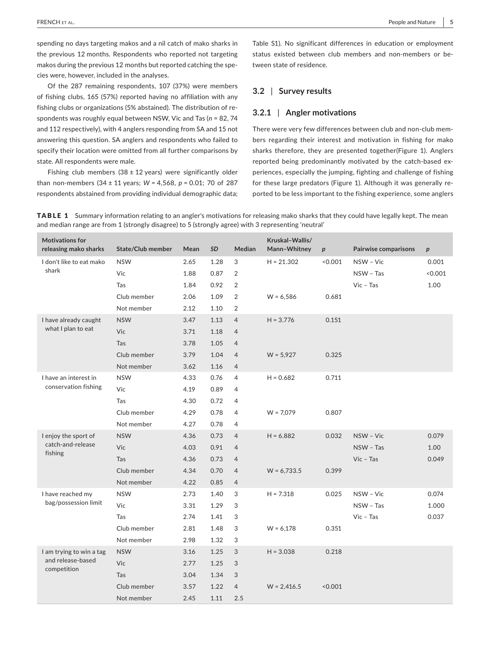spending no days targeting makos and a nil catch of mako sharks in the previous 12 months. Respondents who reported not targeting makos during the previous 12 months but reported catching the spe‐ cies were, however, included in the analyses.

Of the 287 remaining respondents, 107 (37%) were members of fishing clubs, 165 (57%) reported having no affiliation with any fishing clubs or organizations (5% abstained). The distribution of re‐ spondents was roughly equal between NSW, Vic and Tas (*n* = 82, 74 and 112 respectively), with 4 anglers responding from SA and 15 not answering this question. SA anglers and respondents who failed to specify their location were omitted from all further comparisons by state. All respondents were male.

Fishing club members  $(38 \pm 12 \text{ years})$  were significantly older than non‐members (34 ± 11 years; *W* = 4,568, *p* = 0.01; 70 of 287 respondents abstained from providing individual demographic data; Table S1). No significant differences in education or employment status existed between club members and non-members or between state of residence.

# **3.2** | **Survey results**

# **3.2.1** | **Angler motivations**

There were very few differences between club and non‐club mem‐ bers regarding their interest and motivation in fishing for mako sharks therefore, they are presented together(Figure 1). Anglers reported being predominantly motivated by the catch-based experiences, especially the jumping, fighting and challenge of fishing for these large predators (Figure 1). Although it was generally re‐ ported to be less important to the fishing experience, some anglers

**TABLE 1** Summary information relating to an angler's motivations for releasing mako sharks that they could have legally kept. The mean and median range are from 1 (strongly disagree) to 5 (strongly agree) with 3 representing 'neutral'

| <b>Motivations for</b><br>releasing mako sharks | State/Club member | Mean | SD   | Median         | Kruskal-Wallis/<br>Mann-Whitney | $\boldsymbol{p}$ | <b>Pairwise comparisons</b> | p       |
|-------------------------------------------------|-------------------|------|------|----------------|---------------------------------|------------------|-----------------------------|---------|
| I don't like to eat mako                        | <b>NSW</b>        | 2.65 | 1.28 | 3              | $H = 21.302$                    | < 0.001          | NSW - Vic                   | 0.001   |
| shark                                           | Vic               | 1.88 | 0.87 | $\overline{2}$ |                                 |                  | NSW - Tas                   | < 0.001 |
|                                                 | Tas               | 1.84 | 0.92 | $\overline{2}$ |                                 |                  | $Vic$ - Tas                 | 1.00    |
|                                                 | Club member       | 2.06 | 1.09 | $\overline{2}$ | $W = 6,586$                     | 0.681            |                             |         |
|                                                 | Not member        | 2.12 | 1.10 | $\overline{2}$ |                                 |                  |                             |         |
| I have already caught                           | <b>NSW</b>        | 3.47 | 1.13 | $\overline{4}$ | $H = 3.776$                     | 0.151            |                             |         |
| what I plan to eat                              | Vic               | 3.71 | 1.18 | $\overline{4}$ |                                 |                  |                             |         |
|                                                 | Tas               | 3.78 | 1.05 | $\overline{4}$ |                                 |                  |                             |         |
|                                                 | Club member       | 3.79 | 1.04 | $\overline{4}$ | $W = 5,927$                     | 0.325            |                             |         |
|                                                 | Not member        | 3.62 | 1.16 | $\overline{4}$ |                                 |                  |                             |         |
| I have an interest in                           | <b>NSW</b>        | 4.33 | 0.76 | $\overline{4}$ | $H = 0.682$                     | 0.711            |                             |         |
| conservation fishing                            | Vic               | 4.19 | 0.89 | $\overline{4}$ |                                 |                  |                             |         |
|                                                 | Tas               | 4.30 | 0.72 | $\overline{4}$ |                                 |                  |                             |         |
|                                                 | Club member       | 4.29 | 0.78 | $\overline{4}$ | $W = 7,079$                     | 0.807            |                             |         |
|                                                 | Not member        | 4.27 | 0.78 | $\overline{4}$ |                                 |                  |                             |         |
| I enjoy the sport of                            | <b>NSW</b>        | 4.36 | 0.73 | $\overline{4}$ | $H = 6.882$                     | 0.032            | NSW - Vic                   | 0.079   |
| catch-and-release<br>fishing                    | Vic               | 4.03 | 0.91 | $\overline{4}$ |                                 |                  | NSW - Tas                   | 1.00    |
|                                                 | Tas               | 4.36 | 0.73 | $\overline{4}$ |                                 |                  | $Vic$ – Tas                 | 0.049   |
|                                                 | Club member       | 4.34 | 0.70 | $\overline{4}$ | $W = 6,733.5$                   | 0.399            |                             |         |
|                                                 | Not member        | 4.22 | 0.85 | $\overline{4}$ |                                 |                  |                             |         |
| I have reached my                               | <b>NSW</b>        | 2.73 | 1.40 | 3              | $H = 7.318$                     | 0.025            | NSW - Vic                   | 0.074   |
| bag/possession limit                            | Vic               | 3.31 | 1.29 | 3              |                                 |                  | NSW - Tas                   | 1.000   |
|                                                 | Tas               | 2.74 | 1.41 | 3              |                                 |                  | $Vic$ - Tas                 | 0.037   |
|                                                 | Club member       | 2.81 | 1.48 | 3              | $W = 6,178$                     | 0.351            |                             |         |
|                                                 | Not member        | 2.98 | 1.32 | 3              |                                 |                  |                             |         |
| I am trying to win a tag                        | <b>NSW</b>        | 3.16 | 1.25 | 3              | $H = 3.038$                     | 0.218            |                             |         |
| and release-based                               | Vic               | 2.77 | 1.25 | 3              |                                 |                  |                             |         |
| competition                                     | Tas               | 3.04 | 1.34 | 3              |                                 |                  |                             |         |
|                                                 | Club member       | 3.57 | 1.22 | $\overline{4}$ | $W = 2,416.5$                   | < 0.001          |                             |         |
|                                                 | Not member        | 2.45 | 1.11 | 2.5            |                                 |                  |                             |         |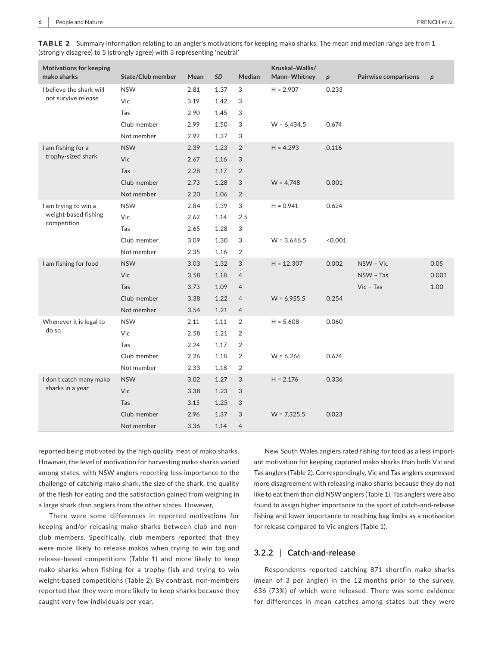| <b>Motivations for keeping</b><br>mako sharks   | <b>State/Club member</b> | Mean | SD   | <b>Median</b>  | Kruskal-Wallis/<br>Mann-Whitney | $\boldsymbol{p}$ | <b>Pairwise comparisons</b> | $\boldsymbol{p}$ |
|-------------------------------------------------|--------------------------|------|------|----------------|---------------------------------|------------------|-----------------------------|------------------|
| I believe the shark will<br>not survive release | <b>NSW</b>               | 2.81 | 1.37 | 3              | $H = 2.907$                     | 0.233            |                             |                  |
|                                                 | Vic                      | 3.19 | 1.42 | 3              |                                 |                  |                             |                  |
|                                                 | Tas                      | 2.90 | 1.45 | 3              |                                 |                  |                             |                  |
|                                                 | Club member              | 2.99 | 1.50 | 3              | $W = 6,434.5$                   | 0.674            |                             |                  |
|                                                 | Not member               | 2.92 | 1.37 | 3              |                                 |                  |                             |                  |
| I am fishing for a                              | <b>NSW</b>               | 2.39 | 1.23 | $\overline{2}$ | $H = 4.293$                     | 0.116            |                             |                  |
| trophy-sized shark                              | Vic                      | 2.67 | 1.16 | 3              |                                 |                  |                             |                  |
|                                                 | Tas                      | 2.28 | 1.17 | $\overline{2}$ |                                 |                  |                             |                  |
|                                                 | Club member              | 2.73 | 1.28 | $\sqrt{3}$     | $W = 4,748$                     | 0.001            |                             |                  |
|                                                 | Not member               | 2.20 | 1.06 | $\overline{2}$ |                                 |                  |                             |                  |
| I am trying to win a                            | <b>NSW</b>               | 2.84 | 1.39 | 3              | $H = 0.941$                     | 0.624            |                             |                  |
| weight-based fishing<br>competition             | Vic                      | 2.62 | 1.14 | 2.5            |                                 |                  |                             |                  |
|                                                 | Tas                      | 2.65 | 1.28 | 3              |                                 |                  |                             |                  |
|                                                 | Club member              | 3.09 | 1.30 | 3              | $W = 3,646.5$                   | < 0.001          |                             |                  |
|                                                 | Not member               | 2.35 | 1.16 | 2              |                                 |                  |                             |                  |
| I am fishing for food                           | <b>NSW</b>               | 3.03 | 1.32 | 3              | $H = 12.307$                    | 0.002            | NSW - Vic                   | 0.05             |
|                                                 | Vic                      | 3.58 | 1.18 | $\overline{4}$ |                                 |                  | NSW - Tas                   | 0.001            |
|                                                 | Tas                      | 3.73 | 1.09 | $\overline{4}$ |                                 |                  | $Vic$ – Tas                 | 1.00             |
|                                                 | Club member              | 3.38 | 1.22 | $\overline{4}$ | $W = 6,955.5$                   | 0.254            |                             |                  |
|                                                 | Not member               | 3.54 | 1.21 | $\overline{4}$ |                                 |                  |                             |                  |
| Whenever it is legal to                         | <b>NSW</b>               | 2.11 | 1.11 | $\overline{2}$ | $H = 5.608$                     | 0.060            |                             |                  |
| do so                                           | Vic                      | 2.58 | 1.21 | 2              |                                 |                  |                             |                  |
|                                                 | Tas                      | 2.24 | 1.17 | 2              |                                 |                  |                             |                  |
|                                                 | Club member              | 2.26 | 1.18 | $\overline{2}$ | $W = 6,266$                     | 0.674            |                             |                  |
|                                                 | Not member               | 2.33 | 1.18 | 2              |                                 |                  |                             |                  |
| I don't catch many mako                         | <b>NSW</b>               | 3.02 | 1.27 | 3              | $H = 2.176$                     | 0.336            |                             |                  |
| sharks in a year                                | Vic                      | 3.38 | 1.23 | $\sqrt{3}$     |                                 |                  |                             |                  |
|                                                 | Tas                      | 3.15 | 1.25 | 3              |                                 |                  |                             |                  |
|                                                 | Club member              | 2.96 | 1.37 | 3              | $W = 7,325.5$                   | 0.023            |                             |                  |
|                                                 | Not member               | 3.36 | 1.14 | $\overline{4}$ |                                 |                  |                             |                  |

TABLE 2 Summary information relating to an angler's motivations for keeping mako sharks. The mean and median range are from 1 (strongly disagree) to 5 (strongly agree) with 3 representing 'neutral'

reported being motivated by the high quality meat of mako sharks. However, the level of motivation for harvesting mako sharks varied among states, with NSW anglers reporting less importance to the challenge of catching mako shark, the size of the shark, the quality of the flesh for eating and the satisfaction gained from weighing in a large shark than anglers from the other states. However,

There were some differences in reported motivations for keeping and/or releasing mako sharks between club and non‐ club members. Specifically, club members reported that they were more likely to release makos when trying to win tag and release‐based competitions (Table 1) and more likely to keep mako sharks when fishing for a trophy fish and trying to win weight-based competitions (Table 2). By contrast, non-members reported that they were more likely to keep sharks because they caught very few individuals per year.

New South Wales anglers rated fishing for food as a less import‐ ant motivation for keeping captured mako sharks than both Vic and Tas anglers (Table 2). Correspondingly, Vic and Tas anglers expressed more disagreement with releasing mako sharks because they do not like to eat them than did NSW anglers (Table 1). Tas anglers were also found to assign higher importance to the sport of catch‐and‐release fishing and lower importance to reaching bag limits as a motivation for release compared to Vic anglers (Table 1).

#### **3.2.2** | **Catch‐and‐release**

Respondents reported catching 871 shortfin mako sharks (mean of 3 per angler) in the 12 months prior to the survey, 636 (73%) of which were released. There was some evidence for differences in mean catches among states but they were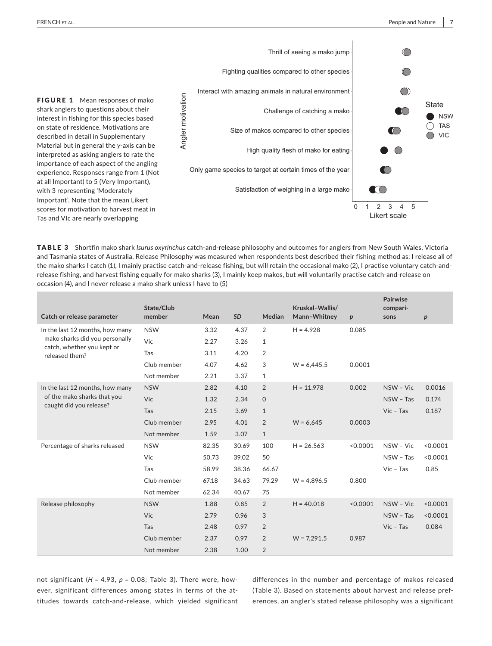

TABLE 3 Shortfin mako shark *Isurus oxyrinchus* catch‐and‐release philosophy and outcomes for anglers from New South Wales, Victoria and Tasmania states of Australia. Release Philosophy was measured when respondents best described their fishing method as: I release all of the mako sharks I catch (1), I mainly practise catch-and-release fishing, but will retain the occasional mako (2), I practise voluntary catch-andrelease fishing, and harvest fishing equally for mako sharks (3), I mainly keep makos, but will voluntarily practise catch‐and‐release on occasion (4), and I never release a mako shark unless I have to (5)

| Catch or release parameter                                        | State/Club<br>member | Mean  | <b>SD</b> | Median         | Kruskal-Wallis/<br>Mann-Whitney | $\boldsymbol{p}$ | Pairwise<br>compari-<br>sons | p        |
|-------------------------------------------------------------------|----------------------|-------|-----------|----------------|---------------------------------|------------------|------------------------------|----------|
| In the last 12 months, how many<br>mako sharks did you personally | <b>NSW</b>           | 3.32  | 4.37      | $\overline{2}$ | $H = 4.928$                     | 0.085            |                              |          |
|                                                                   | Vic                  | 2.27  | 3.26      | $\mathbf{1}$   |                                 |                  |                              |          |
| catch, whether you kept or<br>released them?                      | Tas                  | 3.11  | 4.20      | $\overline{2}$ |                                 |                  |                              |          |
|                                                                   | Club member          | 4.07  | 4.62      | 3              | $W = 6,445.5$                   | 0.0001           |                              |          |
|                                                                   | Not member           | 2.21  | 3.37      | 1              |                                 |                  |                              |          |
| In the last 12 months, how many                                   | <b>NSW</b>           | 2.82  | 4.10      | $\overline{2}$ | $H = 11.978$                    | 0.002            | NSW - Vic                    | 0.0016   |
| of the mako sharks that you<br>caught did you release?            | Vic                  | 1.32  | 2.34      | $\mathsf{O}$   |                                 |                  | NSW - Tas                    | 0.174    |
|                                                                   | Tas                  | 2.15  | 3.69      | $\mathbf{1}$   |                                 |                  | $Vic$ - Tas                  | 0.187    |
|                                                                   | Club member          | 2.95  | 4.01      | $\overline{2}$ | $W = 6.645$                     | 0.0003           |                              |          |
|                                                                   | Not member           | 1.59  | 3.07      | $\mathbf{1}$   |                                 |                  |                              |          |
| Percentage of sharks released                                     | <b>NSW</b>           | 82.35 | 30.69     | 100            | $H = 26.563$                    | < 0.0001         | NSW - Vic                    | < 0.0001 |
|                                                                   | Vic                  | 50.73 | 39.02     | 50             |                                 |                  | NSW - Tas                    | < 0.0001 |
|                                                                   | Tas                  | 58.99 | 38.36     | 66.67          |                                 |                  | $Vic$ - Tas                  | 0.85     |
|                                                                   | Club member          | 67.18 | 34.63     | 79.29          | $W = 4.896.5$                   | 0.800            |                              |          |
|                                                                   | Not member           | 62.34 | 40.67     | 75             |                                 |                  |                              |          |
| Release philosophy                                                | <b>NSW</b>           | 1.88  | 0.85      | $\overline{2}$ | $H = 40.018$                    | < 0.0001         | NSW - Vic                    | < 0.0001 |
|                                                                   | Vic                  | 2.79  | 0.96      | 3              |                                 |                  | NSW - Tas                    | < 0.0001 |
|                                                                   | Tas                  | 2.48  | 0.97      | $\overline{2}$ |                                 |                  | $Vic$ – Tas                  | 0.084    |
|                                                                   | Club member          | 2.37  | 0.97      | $\overline{2}$ | $W = 7,291.5$                   | 0.987            |                              |          |
|                                                                   | Not member           | 2.38  | 1.00      | $\overline{2}$ |                                 |                  |                              |          |

not significant (*H* = 4.93, *p* = 0.08; Table 3). There were, how‐ ever, significant differences among states in terms of the attitudes towards catch‐and‐release, which yielded significant differences in the number and percentage of makos released (Table 3). Based on statements about harvest and release pref‐ erences, an angler's stated release philosophy was a significant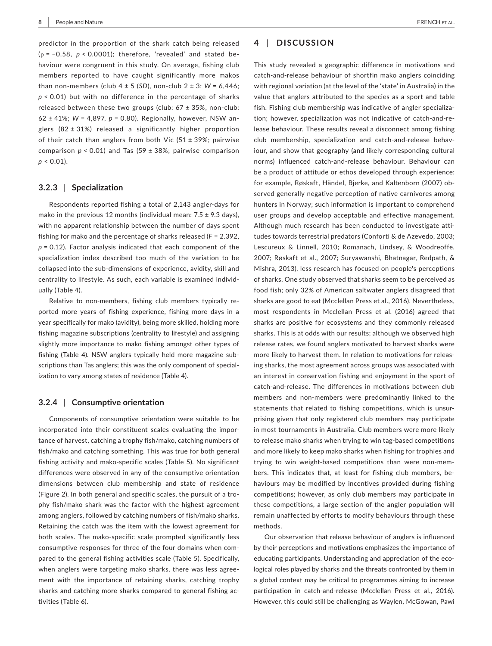predictor in the proportion of the shark catch being released (ρ = −0.58, *p* < 0.0001); therefore, 'revealed' and stated be‐ haviour were congruent in this study. On average, fishing club members reported to have caught significantly more makos than non-members (club  $4 \pm 5$  (*SD*), non-club  $2 \pm 3$ ; *W* = 6,446; *p* < 0.01) but with no difference in the percentage of sharks released between these two groups (club:  $67 \pm 35$ %, non-club: 62 ± 41%; *W* = 4,897, *p* = 0.80). Regionally, however, NSW an‐ glers  $(82 \pm 31%)$  released a significantly higher proportion of their catch than anglers from both Vic  $(51 \pm 39\%)$ ; pairwise comparison *p* < 0.01) and Tas (59 ± 38%; pairwise comparison  $p < 0.01$ ).

## **3.2.3** | **Specialization**

Respondents reported fishing a total of 2,143 angler‐days for mako in the previous 12 months (individual mean:  $7.5 \pm 9.3$  days), with no apparent relationship between the number of days spent fishing for mako and the percentage of sharks released (*F* = 2.392, *p* = 0.12). Factor analysis indicated that each component of the specialization index described too much of the variation to be collapsed into the sub‐dimensions of experience, avidity, skill and centrality to lifestyle. As such, each variable is examined individ‐ ually (Table 4).

Relative to non-members, fishing club members typically reported more years of fishing experience, fishing more days in a year specifically for mako (avidity), being more skilled, holding more fishing magazine subscriptions (centrality to lifestyle) and assigning slightly more importance to mako fishing amongst other types of fishing (Table 4). NSW anglers typically held more magazine sub‐ scriptions than Tas anglers; this was the only component of specialization to vary among states of residence (Table 4).

## **3.2.4** | **Consumptive orientation**

Components of consumptive orientation were suitable to be incorporated into their constituent scales evaluating the impor‐ tance of harvest, catching a trophy fish/mako, catching numbers of fish/mako and catching something. This was true for both general fishing activity and mako‐specific scales (Table 5). No significant differences were observed in any of the consumptive orientation dimensions between club membership and state of residence (Figure 2). In both general and specific scales, the pursuit of a tro‐ phy fish/mako shark was the factor with the highest agreement among anglers, followed by catching numbers of fish/mako sharks. Retaining the catch was the item with the lowest agreement for both scales. The mako‐specific scale prompted significantly less consumptive responses for three of the four domains when com‐ pared to the general fishing activities scale (Table 5). Specifically, when anglers were targeting mako sharks, there was less agree‐ ment with the importance of retaining sharks, catching trophy sharks and catching more sharks compared to general fishing ac‐ tivities (Table 6).

# **4** | **DISCUSSION**

This study revealed a geographic difference in motivations and catch‐and‐release behaviour of shortfin mako anglers coinciding with regional variation (at the level of the 'state' in Australia) in the value that anglers attributed to the species as a sport and table fish. Fishing club membership was indicative of angler specializa‐ tion; however, specialization was not indicative of catch‐and‐re‐ lease behaviour. These results reveal a disconnect among fishing club membership, specialization and catch-and-release behaviour, and show that geography (and likely corresponding cultural norms) influenced catch‐and‐release behaviour. Behaviour can be a product of attitude or ethos developed through experience; for example, Røskaft, Händel, Bjerke, and Kaltenborn (2007) ob‐ served generally negative perception of native carnivores among hunters in Norway; such information is important to comprehend user groups and develop acceptable and effective management. Although much research has been conducted to investigate atti‐ tudes towards terrestrial predators (Conforti & de Azevedo, 2003; Lescureux & Linnell, 2010; Romanach, Lindsey, & Woodreoffe, 2007; Røskaft et al., 2007; Suryawanshi, Bhatnagar, Redpath, & Mishra, 2013), less research has focused on people's perceptions of sharks. One study observed that sharks seem to be perceived as food fish; only 32% of American saltwater anglers disagreed that sharks are good to eat (Mcclellan Press et al., 2016). Nevertheless, most respondents in Mcclellan Press et al. (2016) agreed that sharks are positive for ecosystems and they commonly released sharks. This is at odds with our results; although we observed high release rates, we found anglers motivated to harvest sharks were more likely to harvest them. In relation to motivations for releas‐ ing sharks, the most agreement across groups was associated with an interest in conservation fishing and enjoyment in the sport of catch‐and‐release. The differences in motivations between club members and non‐members were predominantly linked to the statements that related to fishing competitions, which is unsur‐ prising given that only registered club members may participate in most tournaments in Australia. Club members were more likely to release mako sharks when trying to win tag‐based competitions and more likely to keep mako sharks when fishing for trophies and trying to win weight‐based competitions than were non‐mem‐ bers. This indicates that, at least for fishing club members, be‐ haviours may be modified by incentives provided during fishing competitions; however, as only club members may participate in these competitions, a large section of the angler population will remain unaffected by efforts to modify behaviours through these methods.

Our observation that release behaviour of anglers is influenced by their perceptions and motivations emphasizes the importance of educating participants. Understanding and appreciation of the eco‐ logical roles played by sharks and the threats confronted by them in a global context may be critical to programmes aiming to increase participation in catch-and-release (Mcclellan Press et al., 2016). However, this could still be challenging as Waylen, McGowan, Pawi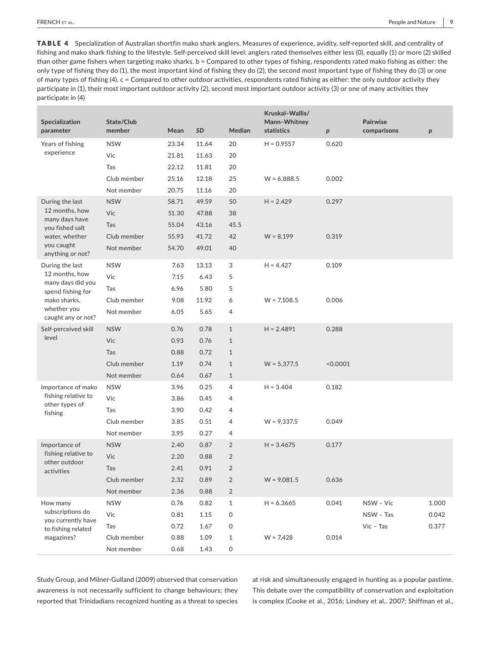TABLE 4 Specialization of Australian shortfin mako shark anglers. Measures of experience, avidity, self-reported skill, and centrality of fishing and mako shark fishing to the lifestyle. Self‐perceived skill level: anglers rated themselves either less (0), equally (1) or more (2) skilled than other game fishers when targeting mako sharks. b = Compared to other types of fishing, respondents rated mako fishing as either: the only type of fishing they do (1), the most important kind of fishing they do (2), the second most important type of fishing they do (3) or one of many types of fishing (4). c = Compared to other outdoor activities, respondents rated fishing as either: the only outdoor activity they participate in (1), their most important outdoor activity (2), second most important outdoor activity (3) or one of many activities they participate in (4)

| Specialization<br>parameter            | State/Club<br>member | Mean  | SD    | Median         | Kruskal-Wallis/<br>Mann-Whitney<br>statistics | p        | <b>Pairwise</b><br>comparisons | р     |
|----------------------------------------|----------------------|-------|-------|----------------|-----------------------------------------------|----------|--------------------------------|-------|
| Years of fishing                       | <b>NSW</b>           | 23.34 | 11.64 | 20             | $H = 0.9557$                                  | 0.620    |                                |       |
| experience                             | Vic                  | 21.81 | 11.63 | 20             |                                               |          |                                |       |
|                                        | Tas                  | 22.12 | 11.81 | 20             |                                               |          |                                |       |
|                                        | Club member          | 25.16 | 12.18 | 25             | $W = 6,888.5$                                 | 0.002    |                                |       |
|                                        | Not member           | 20.75 | 11.16 | 20             |                                               |          |                                |       |
| During the last                        | <b>NSW</b>           | 58.71 | 49.59 | 50             | $H = 2.429$                                   | 0.297    |                                |       |
| 12 months, how<br>many days have       | Vic                  | 51.30 | 47.88 | 38             |                                               |          |                                |       |
| you fished salt                        | Tas                  | 55.04 | 43.16 | 45.5           |                                               |          |                                |       |
| water, whether                         | Club member          | 55.93 | 41.72 | 42             | $W = 8,199$                                   | 0.319    |                                |       |
| you caught<br>anything or not?         | Not member           | 54.70 | 49.01 | 40             |                                               |          |                                |       |
| During the last                        | <b>NSW</b>           | 7.63  | 13.13 | 3              | $H = 4.427$                                   | 0.109    |                                |       |
| 12 months, how<br>many days did you    | Vic                  | 7.15  | 6.43  | 5              |                                               |          |                                |       |
| spend fishing for                      | Tas                  | 6.96  | 5.80  | 5              |                                               |          |                                |       |
| mako sharks,                           | Club member          | 9.08  | 11.92 | 6              | $W = 7,108.5$                                 | 0.006    |                                |       |
| whether you<br>caught any or not?      | Not member           | 6.05  | 5.65  | 4              |                                               |          |                                |       |
| Self-perceived skill                   | <b>NSW</b>           | 0.76  | 0.78  | $\mathbf{1}$   | $H = 2.4891$                                  | 0.288    |                                |       |
| level                                  | Vic                  | 0.93  | 0.76  | $\mathbf{1}$   |                                               |          |                                |       |
|                                        | Tas                  | 0.88  | 0.72  | $\mathbf{1}$   |                                               |          |                                |       |
|                                        | Club member          | 1.19  | 0.74  | $\mathbf{1}$   | $W = 5,377.5$                                 | < 0.0001 |                                |       |
|                                        | Not member           | 0.64  | 0.67  | $\mathbf{1}$   |                                               |          |                                |       |
| Importance of mako                     | <b>NSW</b>           | 3.96  | 0.25  | 4              | $H = 3.404$                                   | 0.182    |                                |       |
| fishing relative to<br>other types of  | Vic                  | 3.86  | 0.45  | 4              |                                               |          |                                |       |
| fishing                                | Tas                  | 3.90  | 0.42  | 4              |                                               |          |                                |       |
|                                        | Club member          | 3.85  | 0.51  | 4              | $W = 9,337.5$                                 | 0.049    |                                |       |
|                                        | Not member           | 3.95  | 0.27  | 4              |                                               |          |                                |       |
| Importance of                          | <b>NSW</b>           | 2.40  | 0.87  | $\overline{2}$ | $H = 3.4675$                                  | 0.177    |                                |       |
| fishing relative to<br>other outdoor   | Vic                  | 2.20  | 0.88  | $\overline{2}$ |                                               |          |                                |       |
| activities                             | Tas                  | 2.41  | 0.91  | $\overline{2}$ |                                               |          |                                |       |
|                                        | Club member          | 2.32  | 0.89  | $\overline{2}$ | $W = 9,081.5$                                 | 0.636    |                                |       |
|                                        | Not member           | 2.36  | 0.88  | $\overline{2}$ |                                               |          |                                |       |
| How many                               | <b>NSW</b>           | 0.76  | 0.82  | $\mathbf{1}$   | $H = 6.3665$                                  | 0.041    | NSW - Vic                      | 1.000 |
| subscriptions do<br>you currently have | Vic                  | 0.81  | 1.15  | 0              |                                               |          | NSW - Tas                      | 0.042 |
| to fishing related                     | Tas                  | 0.72  | 1.67  | 0              |                                               |          | $Vic$ - Tas                    | 0.377 |
| magazines?                             | Club member          | 0.88  | 1.09  | $\mathbf{1}$   | $W = 7,428$                                   | 0.014    |                                |       |
|                                        | Not member           | 0.68  | 1.43  | 0              |                                               |          |                                |       |

Study Group, and Milner‐Gulland (2009) observed that conservation awareness is not necessarily sufficient to change behaviours; they reported that Trinidadians recognized hunting as a threat to species at risk and simultaneously engaged in hunting as a popular pastime. This debate over the compatibility of conservation and exploitation is complex (Cooke et al., 2016; Lindsey et al., 2007; Shiffman et al.,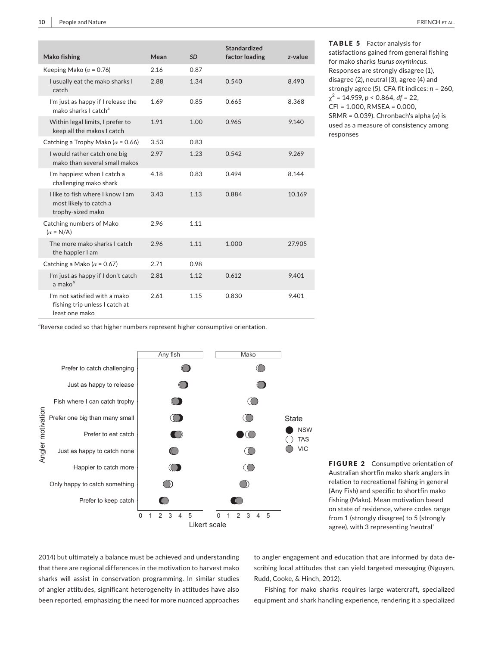| <b>Mako fishing</b>                                                               | Mean | SD   | Standardized<br>factor loading | z-value |
|-----------------------------------------------------------------------------------|------|------|--------------------------------|---------|
| Keeping Mako ( $\alpha$ = 0.76)                                                   | 2.16 | 0.87 |                                |         |
| I usually eat the mako sharks I<br>catch                                          | 2.88 | 1.34 | 0.540                          | 8.490   |
| I'm just as happy if I release the<br>mako sharks I catch <sup>a</sup>            | 1.69 | 0.85 | 0.665                          | 8.368   |
| Within legal limits, I prefer to<br>keep all the makos I catch                    | 1.91 | 1.00 | 0.965                          | 9.140   |
| Catching a Trophy Mako ( $\alpha$ = 0.66)                                         | 3.53 | 0.83 |                                |         |
| I would rather catch one big<br>mako than several small makos                     | 2.97 | 1.23 | 0.542                          | 9.269   |
| I'm happiest when I catch a<br>challenging mako shark                             | 4.18 | 0.83 | 0.494                          | 8.144   |
| Llike to fish where Lknow Lam<br>most likely to catch a<br>trophy-sized mako      | 3.43 | 1.13 | 0.884                          | 10.169  |
| Catching numbers of Mako<br>$(\alpha = N/A)$                                      | 2.96 | 1.11 |                                |         |
| The more mako sharks Lcatch<br>the happier I am                                   | 2.96 | 1.11 | 1.000                          | 27.905  |
| Catching a Mako ( $\alpha$ = 0.67)                                                | 2.71 | 0.98 |                                |         |
| I'm just as happy if I don't catch<br>a mako <sup>a</sup>                         | 2.81 | 1.12 | 0.612                          | 9.401   |
| I'm not satisfied with a mako<br>fishing trip unless I catch at<br>least one mako | 2.61 | 1.15 | 0.830                          | 9.401   |

TABLE 5 Factor analysis for satisfactions gained from general fishing for mako sharks *Isurus oxyrhincus*. Responses are strongly disagree (1), disagree (2), neutral (3), agree (4) and strongly agree (5). CFA fit indices: *n* = 260,  $\chi^2$  = 14.959, *p* < 0.864, *df* = 22, CFI = 1.000, RMSEA = 0.000, SRMR = 0.039). Chronbach's alpha  $(\alpha)$  is used as a measure of consistency among responses

<sup>a</sup>Reverse coded so that higher numbers represent higher consumptive orientation.



FIGURE 2 Consumptive orientation of Australian shortfin mako shark anglers in relation to recreational fishing in general (Any Fish) and specific to shortfin mako fishing (Mako). Mean motivation based on state of residence, where codes range from 1 (strongly disagree) to 5 (strongly agree), with 3 representing 'neutral'

2014) but ultimately a balance must be achieved and understanding that there are regional differences in the motivation to harvest mako sharks will assist in conservation programming. In similar studies of angler attitudes, significant heterogeneity in attitudes have also been reported, emphasizing the need for more nuanced approaches

to angler engagement and education that are informed by data de‐ scribing local attitudes that can yield targeted messaging (Nguyen, Rudd, Cooke, & Hinch, 2012).

Fishing for mako sharks requires large watercraft, specialized equipment and shark handling experience, rendering it a specialized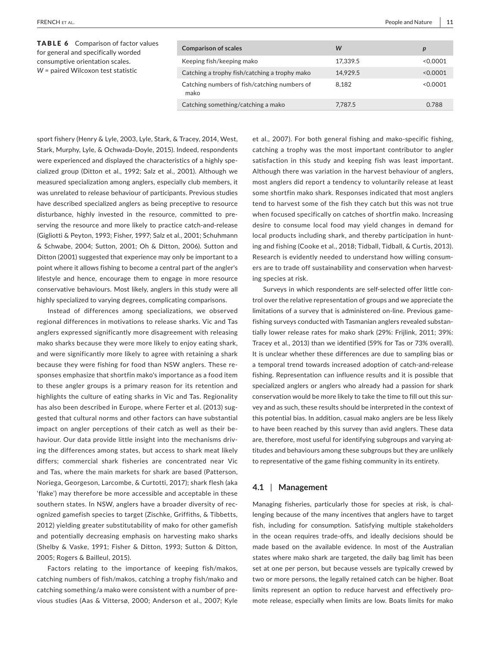| <b>TABLE 6</b> Comparison of factor values<br>for general and specifically worded<br>consumptive orientation scales.<br>W = paired Wilcoxon test statistic | <b>Comparison of scales</b>                          | W        | $\boldsymbol{p}$ |
|------------------------------------------------------------------------------------------------------------------------------------------------------------|------------------------------------------------------|----------|------------------|
|                                                                                                                                                            | Keeping fish/keeping mako                            | 17.339.5 | < 0.0001         |
|                                                                                                                                                            | Catching a trophy fish/catching a trophy mako        | 14.929.5 | < 0.0001         |
|                                                                                                                                                            | Catching numbers of fish/catching numbers of<br>mako | 8.182    | < 0.0001         |
|                                                                                                                                                            | Catching something/catching a mako                   | 7.787.5  | 0.788            |

sport fishery (Henry & Lyle, 2003, Lyle, Stark, & Tracey, 2014, West, Stark, Murphy, Lyle, & Ochwada‐Doyle, 2015). Indeed, respondents were experienced and displayed the characteristics of a highly specialized group (Ditton et al., 1992; Salz et al., 2001). Although we measured specialization among anglers, especially club members, it was unrelated to release behaviour of participants. Previous studies have described specialized anglers as being preceptive to resource disturbance, highly invested in the resource, committed to pre‐ serving the resource and more likely to practice catch-and-release (Gigliotti & Peyton, 1993; Fisher, 1997; Salz et al., 2001; Schuhmann & Schwabe, 2004; Sutton, 2001; Oh & Ditton, 2006). Sutton and Ditton (2001) suggested that experience may only be important to a point where it allows fishing to become a central part of the angler's lifestyle and hence, encourage them to engage in more resource conservative behaviours. Most likely, anglers in this study were all highly specialized to varying degrees, complicating comparisons.

Instead of differences among specializations, we observed regional differences in motivations to release sharks. Vic and Tas anglers expressed significantly more disagreement with releasing mako sharks because they were more likely to enjoy eating shark, and were significantly more likely to agree with retaining a shark because they were fishing for food than NSW anglers. These re‐ sponses emphasize that shortfin mako's importance as a food item to these angler groups is a primary reason for its retention and highlights the culture of eating sharks in Vic and Tas. Regionality has also been described in Europe, where Ferter et al. (2013) suggested that cultural norms and other factors can have substantial impact on angler perceptions of their catch as well as their behaviour. Our data provide little insight into the mechanisms driv‐ ing the differences among states, but access to shark meat likely differs; commercial shark fisheries are concentrated near Vic and Tas, where the main markets for shark are based (Patterson, Noriega, Georgeson, Larcombe, & Curtotti, 2017); shark flesh (aka 'flake') may therefore be more accessible and acceptable in these southern states. In NSW, anglers have a broader diversity of rec‐ ognized gamefish species to target (Zischke, Griffiths, & Tibbetts, 2012) yielding greater substitutability of mako for other gamefish and potentially decreasing emphasis on harvesting mako sharks (Shelby & Vaske, 1991; Fisher & Ditton, 1993; Sutton & Ditton, 2005; Rogers & Bailleul, 2015).

Factors relating to the importance of keeping fish/makos, catching numbers of fish/makos, catching a trophy fish/mako and catching something/a mako were consistent with a number of pre‐ vious studies (Aas & Vittersø, 2000; Anderson et al., 2007; Kyle et al., 2007). For both general fishing and mako‐specific fishing, catching a trophy was the most important contributor to angler satisfaction in this study and keeping fish was least important. Although there was variation in the harvest behaviour of anglers, most anglers did report a tendency to voluntarily release at least some shortfin mako shark. Responses indicated that most anglers tend to harvest some of the fish they catch but this was not true when focused specifically on catches of shortfin mako. Increasing desire to consume local food may yield changes in demand for local products including shark, and thereby participation in hunt‐ ing and fishing (Cooke et al., 2018; Tidball, Tidball, & Curtis, 2013). Research is evidently needed to understand how willing consum‐ ers are to trade off sustainability and conservation when harvesting species at risk.

Surveys in which respondents are self‐selected offer little con‐ trol over the relative representation of groups and we appreciate the limitations of a survey that is administered on‐line. Previous game‐ fishing surveys conducted with Tasmanian anglers revealed substan‐ tially lower release rates for mako shark (29%: Frijlink, 2011; 39%: Tracey et al., 2013) than we identified (59% for Tas or 73% overall). It is unclear whether these differences are due to sampling bias or a temporal trend towards increased adoption of catch‐and‐release fishing. Representation can influence results and it is possible that specialized anglers or anglers who already had a passion for shark conservation would be more likely to take the time to fill out this sur‐ vey and as such, these results should be interpreted in the context of this potential bias. In addition, casual mako anglers are be less likely to have been reached by this survey than avid anglers. These data are, therefore, most useful for identifying subgroups and varying attitudes and behaviours among these subgroups but they are unlikely to representative of the game fishing community in its entirety.

# **4.1** | **Management**

Managing fisheries, particularly those for species at risk, is chal‐ lenging because of the many incentives that anglers have to target fish, including for consumption. Satisfying multiple stakeholders in the ocean requires trade‐offs, and ideally decisions should be made based on the available evidence. In most of the Australian states where mako shark are targeted, the daily bag limit has been set at one per person, but because vessels are typically crewed by two or more persons, the legally retained catch can be higher. Boat limits represent an option to reduce harvest and effectively promote release, especially when limits are low. Boats limits for mako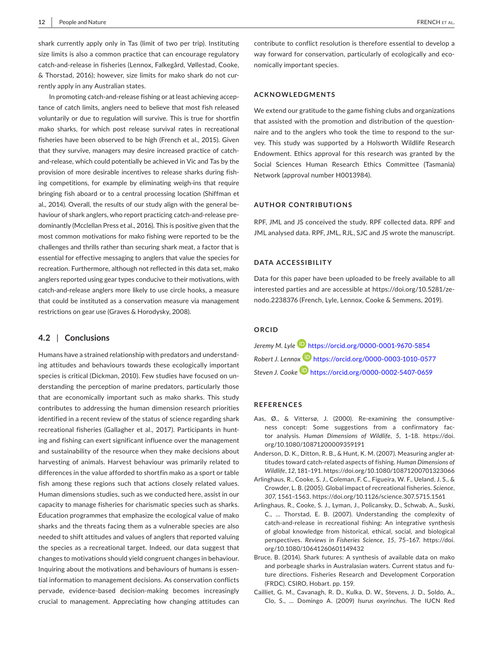shark currently apply only in Tas (limit of two per trip). Instituting size limits is also a common practice that can encourage regulatory catch‐and‐release in fisheries (Lennox, Falkegård, Vøllestad, Cooke, & Thorstad, 2016); however, size limits for mako shark do not cur‐ rently apply in any Australian states.

In promoting catch-and-release fishing or at least achieving acceptance of catch limits, anglers need to believe that most fish released voluntarily or due to regulation will survive. This is true for shortfin mako sharks, for which post release survival rates in recreational fisheries have been observed to be high (French et al., 2015). Given that they survive, managers may desire increased practice of catch‐ and‐release, which could potentially be achieved in Vic and Tas by the provision of more desirable incentives to release sharks during fish‐ ing competitions, for example by eliminating weigh-ins that require bringing fish aboard or to a central processing location (Shiffman et al., 2014). Overall, the results of our study align with the general be‐ haviour of shark anglers, who report practicing catch-and-release predominantly (Mcclellan Press et al., 2016). This is positive given that the most common motivations for mako fishing were reported to be the challenges and thrills rather than securing shark meat, a factor that is essential for effective messaging to anglers that value the species for recreation. Furthermore, although not reflected in this data set, mako anglers reported using gear types conducive to their motivations, with catch‐and‐release anglers more likely to use circle hooks, a measure that could be instituted as a conservation measure via management restrictions on gear use (Graves & Horodysky, 2008).

# **4.2** | **Conclusions**

Humans have a strained relationship with predators and understand‐ ing attitudes and behaviours towards these ecologically important species is critical (Dickman, 2010). Few studies have focused on understanding the perception of marine predators, particularly those that are economically important such as mako sharks. This study contributes to addressing the human dimension research priorities identified in a recent review of the status of science regarding shark recreational fisheries (Gallagher et al., 2017). Participants in hunting and fishing can exert significant influence over the management and sustainability of the resource when they make decisions about harvesting of animals. Harvest behaviour was primarily related to differences in the value afforded to shortfin mako as a sport or table fish among these regions such that actions closely related values. Human dimensions studies, such as we conducted here, assist in our capacity to manage fisheries for charismatic species such as sharks. Education programmes that emphasize the ecological value of mako sharks and the threats facing them as a vulnerable species are also needed to shift attitudes and values of anglers that reported valuing the species as a recreational target. Indeed, our data suggest that changes to motivations should yield congruent changes in behaviour. Inquiring about the motivations and behaviours of humans is essen‐ tial information to management decisions. As conservation conflicts pervade, evidence‐based decision‐making becomes increasingly crucial to management. Appreciating how changing attitudes can

contribute to conflict resolution is therefore essential to develop a way forward for conservation, particularly of ecologically and economically important species.

## **ACKNOWLEDGMENTS**

We extend our gratitude to the game fishing clubs and organizations that assisted with the promotion and distribution of the question‐ naire and to the anglers who took the time to respond to the sur‐ vey. This study was supported by a Holsworth Wildlife Research Endowment. Ethics approval for this research was granted by the Social Sciences Human Research Ethics Committee (Tasmania) Network (approval number H0013984).

#### **AUTHOR CONTRIBUTIONS**

RPF, JML and JS conceived the study. RPF collected data. RPF and JML analysed data. RPF, JML, RJL, SJC and JS wrote the manuscript.

#### **DATA ACCESSIBILITY**

Data for this paper have been uploaded to be freely available to all interested parties and are accessible at [https://doi.org/10.5281/ze](https://doi.org/10.5281/zenodo.2238376)‐ [nodo.2238376](https://doi.org/10.5281/zenodo.2238376) (French, Lyle, Lennox, Cooke & Semmens, 2019).

# **ORCID**

*Jeremy M. Lyle* <https://orcid.org/0000-0001-9670-5854> Robert J. Lennox **b** <https://orcid.org/0000-0003-1010-0577> *Steven J. Cook[e](https://orcid.org/0000-0002-5407-0659)* <https://orcid.org/0000-0002-5407-0659>

#### **REFERENCES**

- Aas, Ø., & Vittersø, J. (2000). Re-examining the consumptiveness concept: Some suggestions from a confirmatory factor analysis. *Human Dimensions of Wildlife*, *5*, 1–18. [https://doi.](https://doi.org/10.1080/10871200009359191) [org/10.1080/10871200009359191](https://doi.org/10.1080/10871200009359191)
- Anderson, D. K., Ditton, R. B., & Hunt, K. M. (2007). Measuring angler at‐ titudes toward catch‐related aspects of fishing. *Human Dimensions of Wildlife*, *12*, 181–191. <https://doi.org/10.1080/10871200701323066>
- Arlinghaus, R., Cooke, S. J., Coleman, F. C., Figueira, W. F., Ueland, J. S., & Crowder, L. B. (2005). Global impact of recreational fisheries. *Science*, *307*, 1561–1563. <https://doi.org/10.1126/science.307.5715.1561>
- Arlinghaus, R., Cooke, S. J., Lyman, J., Policansky, D., Schwab, A., Suski, C., … Thorstad, E. B. (2007). Understanding the complexity of catch-and-release in recreational fishing: An integrative synthesis of global knowledge from historical, ethical, social, and biological perspectives. *Reviews in Fisheries Science*, *15*, 75–167. [https://doi.](https://doi.org/10.1080/10641260601149432) [org/10.1080/10641260601149432](https://doi.org/10.1080/10641260601149432)
- Bruce, B. (2014). Shark futures: A synthesis of available data on mako and porbeagle sharks in Australasian waters. Current status and future directions. Fisheries Research and Development Corporation (FRDC). CSIRO, Hobart. pp. 159.
- Cailliet, G. M., Cavanagh, R. D., Kulka, D. W., Stevens, J. D., Soldo, A., Clo, S., ... Domingo A. (2009) *Isurus oxyrinchus*. The IUCN Red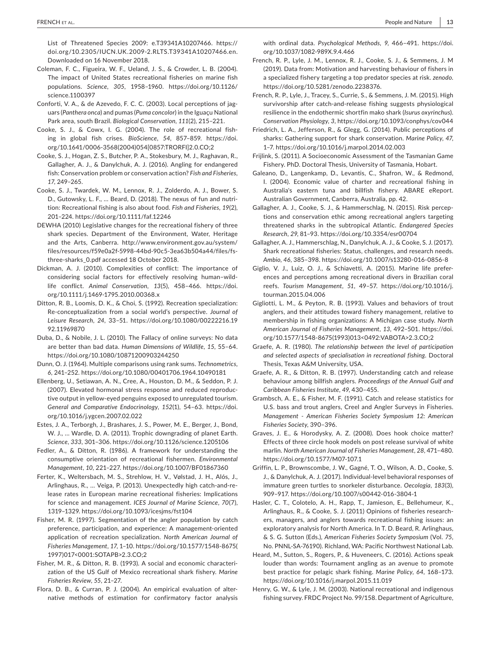List of Threatened Species 2009: e.T39341A10207466. [https://](https://doi.org/10.2305/IUCN.UK.2009-2.RLTS.T39341A10207466.en) [doi.org/10.2305/IUCN.UK.2009-2.RLTS.T39341A10207466.en.](https://doi.org/10.2305/IUCN.UK.2009-2.RLTS.T39341A10207466.en) Downloaded on 16 November 2018.

Coleman, F. C., Figueira, W. F., Ueland, J. S., & Crowder, L. B. (2004). The impact of United States recreational fisheries on marine fish populations. *Science*, *305*, 1958–1960. [https://doi.org/10.1126/](https://doi.org/10.1126/science.1100397) [science.1100397](https://doi.org/10.1126/science.1100397)

Conforti, V. A., & de Azevedo, F. C. C. (2003). Local perceptions of jag‐ uars (*Panthera onca*) and pumas (*Puma concolor*) in the Iguaçu National Park area, south Brazil. *Biological Conservation*, *111*(2), 215–221.

Cooke, S. J., & Cowx, I. G. (2004). The role of recreational fish‐ ing in global fish crises. *BioScience*, *54*, 857–859. [https://doi.](https://doi.org/10.1641/0006-3568(2004)054[0857:TRORFI]2.0.CO;2) [org/10.1641/0006-3568\(2004\)054\[0857:TRORFI\]2.0.CO;2](https://doi.org/10.1641/0006-3568(2004)054[0857:TRORFI]2.0.CO;2)

Cooke, S. J., Hogan, Z. S., Butcher, P. A., Stokesbury, M. J., Raghavan, R., Gallagher, A. J., & Danylchuk, A. J. (2016). Angling for endangered fish: Conservation problem or conservation action? *Fish and Fisheries*, *17*, 249–265.

Cooke, S. J., Twardek, W. M., Lennox, R. J., Zolderdo, A. J., Bower, S. D., Gutowsky, L. F., … Beard, D. (2018). The nexus of fun and nutri‐ tion: Recreational fishing is also about food. *Fish and Fisheries*, *19*(2), 201–224. <https://doi.org/10.1111/faf.12246>

DEWHA (2010) Legislative changes for the recreational fishery of three shark species. Department of the Environment, Water, Heritage and the Arts, Canberra. [http://www.environment.gov.au/system/](http://www.environment.gov.au/system/files/resources/f59e0a2f-5998-44bd-90c5-3ea63b504a44/files/fs-three-sharks_0.pdf) [files/resources/f59e0a2f-5998-44bd-90c5-3ea63b504a44/files/fs](http://www.environment.gov.au/system/files/resources/f59e0a2f-5998-44bd-90c5-3ea63b504a44/files/fs-three-sharks_0.pdf)[three-sharks\\_0.pdf](http://www.environment.gov.au/system/files/resources/f59e0a2f-5998-44bd-90c5-3ea63b504a44/files/fs-three-sharks_0.pdf) accessed 18 October 2018.

Dickman, A. J. (2010). Complexities of conflict: The importance of considering social factors for effectively resolving human–wild‐ life conflict. *Animal Conservation*, *13*(5), 458–466. [https://doi.](https://doi.org/10.1111/j.1469-1795.2010.00368.x) [org/10.1111/j.1469-1795.2010.00368.x](https://doi.org/10.1111/j.1469-1795.2010.00368.x)

Ditton, R. B., Loomis, D. K., & Choi, S. (1992). Recreation specialization: Re‐conceptualization from a social world's perspective. *Journal of Leisure Research*, *24*, 33–51. [https://doi.org/10.1080/00222216.19](https://doi.org/10.1080/00222216.1992.11969870) [92.11969870](https://doi.org/10.1080/00222216.1992.11969870)

Duba, D., & Nobile, J. L. (2010). The Fallacy of online surveys: No data are better than bad data. *Human Dimensions of Wildlife*, *15*, 55–64. <https://doi.org/10.1080/10871200903244250>

Dunn, O. J. (1964). Multiple comparisons using rank sums. *Technometrics*, *6*, 241–252. <https://doi.org/10.1080/00401706.1964.10490181>

Ellenberg, U., Setiawan, A. N., Cree, A., Houston, D. M., & Seddon, P. J. (2007). Elevated hormonal stress response and reduced reproduc‐ tive output in yellow‐eyed penguins exposed to unregulated tourism. *General and Comparative Endocrinology*, *152*(1), 54–63. [https://doi.](https://doi.org/10.1016/j.ygcen.2007.02.022) [org/10.1016/j.ygcen.2007.02.022](https://doi.org/10.1016/j.ygcen.2007.02.022)

Estes, J. A., Terborgh, J., Brashares, J. S., Power, M. E., Berger, J., Bond, W. J., … Wardle, D. A. (2011). Trophic downgrading of planet Earth. *Science*, *333*, 301–306. <https://doi.org/10.1126/science.1205106>

Fedler, A., & Ditton, R. (1986). A framework for understanding the consumptive orientation of recreational fishermen. *Environmental Management*, *10*, 221–227. <https://doi.org/10.1007/BF01867360>

Ferter, K., Weltersbach, M. S., Strehlow, H. V., Vølstad, J. H., Alós, J., Arlinghaus, R., … Veiga, P. (2013). Unexpectedly high catch‐and‐re‐ lease rates in European marine recreational fisheries: Implications for science and management. *ICES Journal of Marine Science*, *70*(7), 1319–1329. <https://doi.org/10.1093/icesjms/fst104>

Fisher, M. R. (1997). Segmentation of the angler population by catch preference, participation, and experience: A management‐oriented application of recreation specialization. *North American Journal of Fisheries Management*, *17*, 1–10. [https://doi.org/10.1577/1548-8675\(](https://doi.org/10.1577/1548-8675(1997)017<0001:SOTAPB>2.3.CO;2) [1997\)017<0001:SOTAPB>2.3.CO;2](https://doi.org/10.1577/1548-8675(1997)017<0001:SOTAPB>2.3.CO;2)

Fisher, M. R., & Ditton, R. B. (1993). A social and economic characteri‐ zation of the US Gulf of Mexico recreational shark fishery. *Marine Fisheries Review*, *55*, 21–27.

Flora, D. B., & Curran, P. J. (2004). An empirical evaluation of alter‐ native methods of estimation for confirmatory factor analysis with ordinal data. *Psychological Methods*, *9*, 466–491. [https://doi.](https://doi.org/10.1037/1082-989X.9.4.466) [org/10.1037/1082-989X.9.4.466](https://doi.org/10.1037/1082-989X.9.4.466)

French, R. P., Lyle, J. M., Lennox, R. J., Cooke, S. J., & Semmens, J. M (2019). Data from: Motivation and harvesting behaviour of fishers in a specialized fishery targeting a top predator species at risk. *zenodo*. <https://doi.org/10.5281/zenodo.2238376>.

French, R. P., Lyle, J., Tracey, S., Currie, S., & Semmens, J. M. (2015). High survivorship after catch‐and‐release fishing suggests physiological resilience in the endothermic shortfin mako shark (*Isurus oxyrinchus*). *Conservation Physiology*, *3*, <https://doi.org/10.1093/conphys/cov044>

Friedrich, L. A., Jefferson, R., & Glegg, G. (2014). Public perceptions of sharks: Gathering support for shark conservation. *Marine Policy*, *47*, 1–7. <https://doi.org/10.1016/j.marpol.2014.02.003>

Frijlink, S. (2011). A Socioeconomic Assessment of the Tasmanian Game Fishery. PhD. Doctoral Thesis, University of Tasmania, Hobart.

Galeano, D., Langenkamp, D., Levantis, C., Shafron, W., & Redmond, I. (2004). Economic value of charter and recreational fishing in Australia's eastern tuna and billfish fishery. ABARE eReport. Australian Government, Canberra, Australia, pp. 42.

Gallagher, A. J., Cooke, S. J., & Hammerschlag, N. (2015). Risk percep‐ tions and conservation ethic among recreational anglers targeting threatened sharks in the subtropical Atlantic. *Endangered Species Research*, *29*, 81–93. <https://doi.org/10.3354/esr00704>

Gallagher, A. J., Hammerschlag, N., Danylchuk, A. J., & Cooke, S. J. (2017). Shark recreational fisheries: Status, challenges, and research needs. *Ambio*, *46*, 385–398. <https://doi.org/10.1007/s13280-016-0856-8>

Giglio, V. J., Luiz, O. J., & Schiavetti, A. (2015). Marine life prefer‐ ences and perceptions among recreational divers in Brazilian coral reefs. *Tourism Management*, *51*, 49–57. [https://doi.org/10.1016/j.](https://doi.org/10.1016/j.tourman.2015.04.006) [tourman.2015.04.006](https://doi.org/10.1016/j.tourman.2015.04.006)

Gigliotti, L. M., & Peyton, R. B. (1993). Values and behaviors of trout anglers, and their attitudes toward fishery management, relative to membership in fishing organizations: A Michigan case study. *North American Journal of Fisheries Management*, *13*, 492–501. [https://doi.](https://doi.org/10.1577/1548-8675(1993)013<0492:VABOTA>2.3.CO;2) [org/10.1577/1548-8675\(1993\)013<0492:VABOTA>2.3.CO;2](https://doi.org/10.1577/1548-8675(1993)013<0492:VABOTA>2.3.CO;2)

Graefe, A. R. (1980). *The relationship between the level of participation and selected aspects of specialisation in recreational fishing*. Doctoral Thesis, Texas A&M University, USA.

Graefe, A. R., & Ditton, R. B. (1997). Understanding catch and release behaviour among billfish anglers. *Proceedings of the Annual Gulf and Caribbean Fisheries Institute*, *49*, 430–455.

Grambsch, A. E., & Fisher, M. F. (1991). Catch and release statistics for U.S. bass and trout anglers, Creel and Angler Surveys in Fisheries. *Management ‐ American Fisheries Society Symposium 12: American Fisheries Society*, 390–396.

Graves, J. E., & Horodysky, A. Z. (2008). Does hook choice matter? Effects of three circle hook models on post release survival of white marlin. *North American Journal of Fisheries Management*, *28*, 471–480. <https://doi.org/10.1577/M07-107.1>

Griffin, L. P., Brownscombe, J. W., Gagné, T. O., Wilson, A. D., Cooke, S. J., & Danylchuk, A. J. (2017). Individual‐level behavioral responses of immature green turtles to snorkeler disturbance. *Oecologia*, *183*(3), 909–917. <https://doi.org/10.1007/s00442-016-3804-1>

Hasler, C. T., Colotelo, A. H., Rapp, T., Jamieson, E., Bellehumeur, K., Arlinghaus, R., & Cooke, S. J. (2011) Opinions of fisheries research‐ ers, managers, and anglers towards recreational fishing issues: an exploratory analysis for North America. In T. D. Beard, R. Arlinghaus, & S. G. Sutton (Eds.), *American Fisheries Society Symposium* (Vol. *75*, No. PNNL‐SA‐76190). Richland, WA: Pacific Northwest National Lab.

Heard, M., Sutton, S., Rogers, P., & Huveneers, C. (2016). Actions speak louder than words: Tournament angling as an avenue to promote best practice for pelagic shark fishing. *Marine Policy*, *64*, 168–173. <https://doi.org/10.1016/j.marpol.2015.11.019>

Henry, G. W., & Lyle, J. M. (2003). National recreational and indigenous fishing survey. FRDC Project No. 99/158. Department of Agriculture,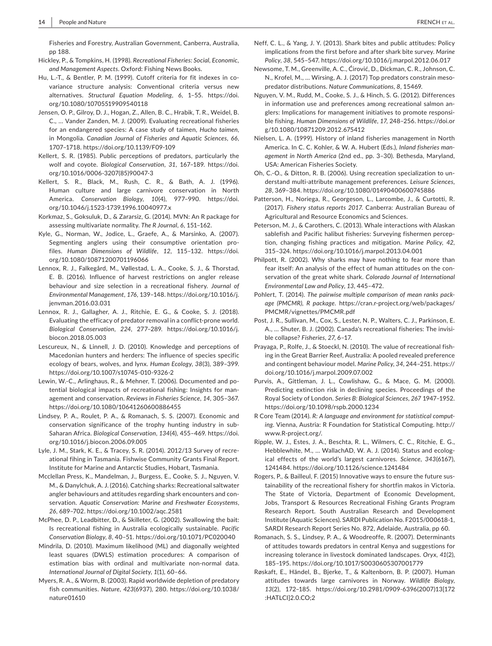Fisheries and Forestry, Australian Government, Canberra, Australia, pp 188.

- Hickley, P., & Tompkins, H. (1998). *Recreational Fisheries: Social, Economic, and Management Aspects*. Oxford: Fishing News Books.
- Hu, L.-T., & Bentler, P. M. (1999). Cutoff criteria for fit indexes in covariance structure analysis: Conventional criteria versus new alternatives. *Structural Equation Modeling*, *6*, 1–55. [https://doi.](https://doi.org/10.1080/10705519909540118) [org/10.1080/10705519909540118](https://doi.org/10.1080/10705519909540118)
- Jensen, O. P., Gilroy, D. J., Hogan, Z., Allen, B. C., Hrabik, T. R., Weidel, B. C., … Vander Zanden, M. J. (2009). Evaluating recreational fisheries for an endangered species: A case study of taimen, *Hucho taimen*, in Mongolia. *Canadian Journal of Fisheries and Aquatic Sciences*, *66*, 1707–1718. <https://doi.org/10.1139/F09-109>
- Kellert, S. R. (1985). Public perceptions of predators, particularly the wolf and coyote. *Biological Conservation*, *31*, 167–189. [https://doi.](https://doi.org/10.1016/0006-3207(85)90047-3) [org/10.1016/0006-3207\(85\)90047-3](https://doi.org/10.1016/0006-3207(85)90047-3)
- Kellert, S. R., Black, M., Rush, C. R., & Bath, A. J. (1996). Human culture and large carnivore conservation in North America. *Conservation Biology*, *10*(4), 977–990. [https://doi.](https://doi.org/10.1046/j.1523-1739.1996.10040977.x) [org/10.1046/j.1523-1739.1996.10040977.x](https://doi.org/10.1046/j.1523-1739.1996.10040977.x)
- Korkmaz, S., Goksuluk, D., & Zararsiz, G. (2014). MVN: An R package for assessing multivariate normality. *The R Journal*, *6*, 151–162.
- Kyle, G., Norman, W., Jodice, L., Graefe, A., & Marsinko, A. (2007). Segmenting anglers using their consumptive orientation pro‐ files. *Human Dimensions of Wildlife*, *12*, 115–132. [https://doi.](https://doi.org/10.1080/10871200701196066) [org/10.1080/10871200701196066](https://doi.org/10.1080/10871200701196066)
- Lennox, R. J., Falkegård, M., Vøllestad, L. A., Cooke, S. J., & Thorstad, E. B. (2016). Influence of harvest restrictions on angler release behaviour and size selection in a recreational fishery. *Journal of Environmental Management*, *176*, 139–148. [https://doi.org/10.1016/j.](https://doi.org/10.1016/j.jenvman.2016.03.031) [jenvman.2016.03.031](https://doi.org/10.1016/j.jenvman.2016.03.031)
- Lennox, R. J., Gallagher, A. J., Ritchie, E. G., & Cooke, S. J. (2018). Evaluating the efficacy of predator removal in a conflict‐prone world. *Biological Conservation*, *224*, 277–289. [https://doi.org/10.1016/j.](https://doi.org/10.1016/j.biocon.2018.05.003) [biocon.2018.05.003](https://doi.org/10.1016/j.biocon.2018.05.003)
- Lescureux, N., & Linnell, J. D. (2010). Knowledge and perceptions of Macedonian hunters and herders: The influence of species specific ecology of bears, wolves, and lynx. *Human Ecology*, *38*(3), 389–399. <https://doi.org/10.1007/s10745-010-9326-2>
- Lewin, W.‐C., Arlinghaus, R., & Mehner, T. (2006). Documented and po‐ tential biological impacts of recreational fishing: Insights for man‐ agement and conservation. *Reviews in Fisheries Science*, *14*, 305–367. <https://doi.org/10.1080/10641260600886455>
- Lindsey, P. A., Roulet, P. A., & Romanach, S. S. (2007). Economic and conservation significance of the trophy hunting industry in sub‐ Saharan Africa. *Biological Conservation*, *134*(4), 455–469. [https://doi.](https://doi.org/10.1016/j.biocon.2006.09.005) [org/10.1016/j.biocon.2006.09.005](https://doi.org/10.1016/j.biocon.2006.09.005)
- Lyle, J. M., Stark, K. E., & Tracey, S. R. (2014). 2012/13 Survey of recre‐ ational fihing in Tasmania. Fishwise Community Grants Final Report. Institute for Marine and Antarctic Studies, Hobart, Tasmania.
- Mcclellan Press, K., Mandelman, J., Burgess, E., Cooke, S. J., Nguyen, V. M., & Danylchuk, A. J. (2016). Catching sharks: Recreational saltwater angler behaviours and attitudes regarding shark encounters and con‐ servation. *Aquatic Conservation: Marine and Freshwater Ecosystems*, *26*, 689–702. <https://doi.org/10.1002/aqc.2581>
- McPhee, D. P., Leadbitter, D., & Skilleter, G. (2002). Swallowing the bait: Is recreational fishing in Australia ecologically sustainable. *Pacific Conservation Biology*, *8*, 40–51. <https://doi.org/10.1071/PC020040>
- Mindrila, D. (2010). Maximum likelihood (ML) and diagonally weighted least squares (DWLS) estimation procedures: A comparison of estimation bias with ordinal and multivariate non‐normal data. *International Journal of Digital Society*, *1*(1), 60–66.
- Myers, R. A., & Worm, B. (2003). Rapid worldwide depletion of predatory fish communities. *Nature*, *423*(6937), 280. [https://doi.org/10.1038/](https://doi.org/10.1038/nature01610) [nature01610](https://doi.org/10.1038/nature01610)
- Neff, C. L., & Yang, J. Y. (2013). Shark bites and public attitudes: Policy implications from the first before and after shark bite survey. *Marine Policy*, *38*, 545–547. <https://doi.org/10.1016/j.marpol.2012.06.017>
- Newsome, T. M., Greenville, A. C., Ćirović, D., Dickman, C. R., Johnson, C. N., Krofel, M., … Wirsing, A. J. (2017) Top predators constrain meso‐ predator distributions. *Nature Communications*, *8*, 15469.
- Nguyen, V. M., Rudd, M., Cooke, S. J., & Hinch, S. G. (2012). Differences in information use and preferences among recreational salmon anglers: Implications for management initiatives to promote responsi‐ ble fishing. *Human Dimensions of Wildlife*, *17*, 248–256. [https://doi.or](https://doi.org/10.1080/10871209.2012.675412) [g/10.1080/10871209.2012.675412](https://doi.org/10.1080/10871209.2012.675412)
- Nielsen, L. A. (1999). History of inland fisheries management in North America. In C. C. Kohler, & W. A. Hubert (Eds.), *Inland fisheries man‐ agement in North America* (2nd ed., pp. 3–30). Bethesda, Maryland, USA: American Fisheries Society.
- Oh, C.‐O., & Ditton, R. B. (2006). Using recreation specialization to un‐ derstand multi‐attribute management preferences. *Leisure Sciences*, *28*, 369–384. <https://doi.org/10.1080/01490400600745886>
- Patterson, H., Noriega, R., Georgeson, L., Larcombe, J., & Curtotti, R. (2017). *Fishery status reports 2017*. Canberra: Australian Bureau of Agricultural and Resource Economics and Sciences.
- Peterson, M. J., & Carothers, C. (2013). Whale interactions with Alaskan sablefish and Pacific halibut fisheries: Surveying fishermen percep‐ tion, changing fishing practices and mitigation. *Marine Policy*, *42*, 315–324. <https://doi.org/10.1016/j.marpol.2013.04.001>
- Philpott, R. (2002). Why sharks may have nothing to fear more than fear itself: An analysis of the effect of human attitudes on the con‐ servation of the great white shark. *Colorado Journal of International Environmental Law and Policy*, *13*, 445–472.
- Pohlert, T. (2014). *The pairwise multiple comparison of mean ranks pack‐ age (PMCMR), R package*. [https://cran.r-project.org/web/packages/](https://cran.r-project.org/web/packages/PMCMR/vignettes/PMCMR.pdf) [PMCMR/vignettes/PMCMR.pdf](https://cran.r-project.org/web/packages/PMCMR/vignettes/PMCMR.pdf)
- Post, J. R., Sullivan, M., Cox, S., Lester, N. P., Walters, C. J., Parkinson, E. A., … Shuter, B. J. (2002). Canada's recreational fisheries: The invisi‐ ble collapse? *Fisheries*, *27*, 6–17.
- Prayaga, P., Rolfe, J., & Stoeckl, N. (2010). The value of recreational fish‐ ing in the Great Barrier Reef, Australia: A pooled revealed preference and contingent behaviour model. *Marine Policy*, *34*, 244–251. [https://](https://doi.org/10.1016/j.marpol.2009.07.002) [doi.org/10.1016/j.marpol.2009.07.002](https://doi.org/10.1016/j.marpol.2009.07.002)
- Purvis, A., Gittleman, J. L., Cowlishaw, G., & Mace, G. M. (2000). Predicting extinction risk in declining species. Proceedings of the Royal Society of London. *Series B: Biological Sciences*, *267* 1947–1952. <https://doi.org/10.1098/rspb.2000.1234>
- R Core Team (2014). *R: A language and environment for statistical comput‐ ing*. Vienna, Austria: R Foundation for Statistical Computing. [http://](http://www.R-project.org/.) [www.R-project.org/.](http://www.R-project.org/.)
- Ripple, W. J., Estes, J. A., Beschta, R. L., Wilmers, C. C., Ritchie, E. G., Hebblewhite, M., ... WallachAD, W. A. J. (2014). Status and ecological effects of the world's largest carnivores. *Science*, *343*(6167), 1241484. <https://doi.org/10.1126/science.1241484>
- Rogers, P., & Bailleul, F. (2015) Innovative ways to ensure the future sus‐ tainability of the recreational fishery for shortfin makos in Victoria. The State of Victoria, Department of Economic Development, Jobs, Transport & Resources Recreational Fishing Grants Program Research Report. South Australian Research and Development Institute (Aquatic Sciences). SARDI Publication No. F2015/000618‐1, SARDI Research Report Series No. 872, Adelaide, Australia, pp 60.
- Romanach, S. S., Lindsey, P. A., & Woodreoffe, R. (2007). Determinants of attitudes towards predators in central Kenya and suggestions for increasing tolerance in livestock dominated landscapes. *Oryx*, *41*(2), 185–195. <https://doi.org/10.1017/S0030605307001779>
- Røskaft, E., Händel, B., Bjerke, T., & Kaltenborn, B. P. (2007). Human attitudes towards large carnivores in Norway. *Wildlife Biology*, *13*(2), 172–185. [https://doi.org/10.2981/0909-6396\(2007\)13\[172](https://doi.org/10.2981/0909-6396(2007)13[172:HATLCI]2.0.CO;2) [:HATLCI\]2.0.CO;2](https://doi.org/10.2981/0909-6396(2007)13[172:HATLCI]2.0.CO;2)